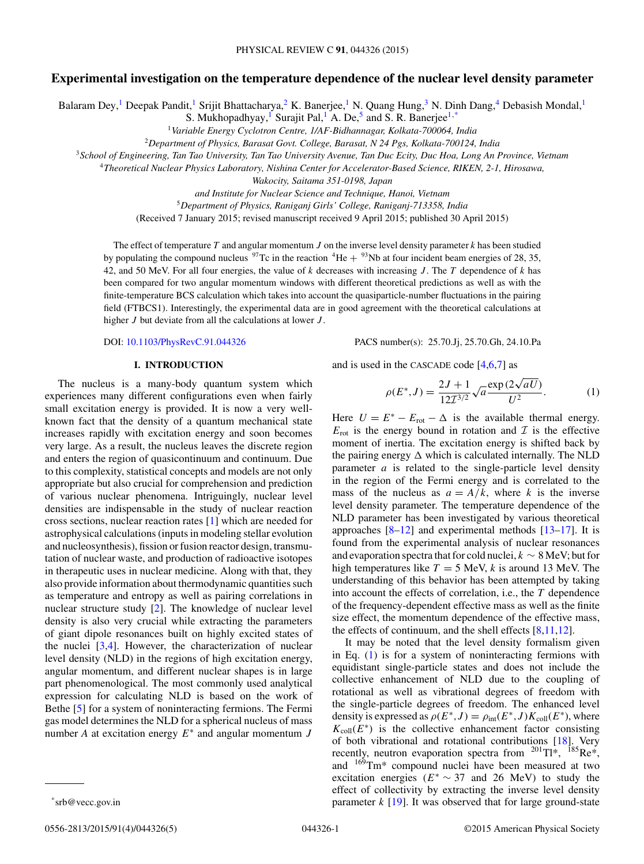# **Experimental investigation on the temperature dependence of the nuclear level density parameter**

Balaram Dey,<sup>1</sup> Deepak Pandit,<sup>1</sup> Srijit Bhattacharya,<sup>2</sup> K. Banerjee,<sup>1</sup> N. Quang Hung,<sup>3</sup> N. Dinh Dang,<sup>4</sup> Debasish Mondal,<sup>1</sup>

S. Mukhopadhyay,<sup>1</sup> Surajit Pal,<sup>1</sup> A. De,<sup>5</sup> and S. R. Banerjee<sup>1,\*</sup>

<sup>1</sup>*Variable Energy Cyclotron Centre, 1/AF-Bidhannagar, Kolkata-700064, India*

<sup>2</sup>*Department of Physics, Barasat Govt. College, Barasat, N 24 Pgs, Kolkata-700124, India*

<sup>3</sup>*School of Engineering, Tan Tao University, Tan Tao University Avenue, Tan Duc Ecity, Duc Hoa, Long An Province, Vietnam*

<sup>4</sup>*Theoretical Nuclear Physics Laboratory, Nishina Center for Accelerator-Based Science, RIKEN, 2-1, Hirosawa,*

*Wakocity, Saitama 351-0198, Japan*

*and Institute for Nuclear Science and Technique, Hanoi, Vietnam*

<sup>5</sup>*Department of Physics, Raniganj Girls' College, Raniganj-713358, India*

(Received 7 January 2015; revised manuscript received 9 April 2015; published 30 April 2015)

The effect of temperature  $T$  and angular momentum  $J$  on the inverse level density parameter  $k$  has been studied by populating the compound nucleus  $97$ Tc in the reaction  $4$ He  $+ 93$ Nb at four incident beam energies of 28, 35, 42, and 50 MeV. For all four energies, the value of  $k$  decreases with increasing J. The T dependence of  $k$  has been compared for two angular momentum windows with different theoretical predictions as well as with the finite-temperature BCS calculation which takes into account the quasiparticle-number fluctuations in the pairing field (FTBCS1). Interestingly, the experimental data are in good agreement with the theoretical calculations at higher  $J$  but deviate from all the calculations at lower  $J$ .

## **I. INTRODUCTION**

The nucleus is a many-body quantum system which experiences many different configurations even when fairly small excitation energy is provided. It is now a very wellknown fact that the density of a quantum mechanical state increases rapidly with excitation energy and soon becomes very large. As a result, the nucleus leaves the discrete region and enters the region of quasicontinuum and continuum. Due to this complexity, statistical concepts and models are not only appropriate but also crucial for comprehension and prediction of various nuclear phenomena. Intriguingly, nuclear level densities are indispensable in the study of nuclear reaction cross sections, nuclear reaction rates [\[1\]](#page-4-0) which are needed for astrophysical calculations (inputs in modeling stellar evolution and nucleosynthesis), fission or fusion reactor design, transmutation of nuclear waste, and production of radioactive isotopes in therapeutic uses in nuclear medicine. Along with that, they also provide information about thermodynamic quantities such as temperature and entropy as well as pairing correlations in nuclear structure study [\[2\]](#page-4-0). The knowledge of nuclear level density is also very crucial while extracting the parameters of giant dipole resonances built on highly excited states of the nuclei  $[3,4]$ . However, the characterization of nuclear level density (NLD) in the regions of high excitation energy, angular momentum, and different nuclear shapes is in large part phenomenological. The most commonly used analytical expression for calculating NLD is based on the work of Bethe [\[5\]](#page-4-0) for a system of noninteracting fermions. The Fermi gas model determines the NLD for a spherical nucleus of mass number *A* at excitation energy  $E^*$  and angular momentum *J* 

DOI: [10.1103/PhysRevC.91.044326](http://dx.doi.org/10.1103/PhysRevC.91.044326) PACS number(s): 25.70.Jj, 25.70.Gh, 24.10.Pa

and is used in the CASCADE code [\[4,6,7\]](#page-4-0) as

$$
\rho(E^*, J) = \frac{2J + 1}{12T^{3/2}} \sqrt{a} \frac{\exp(2\sqrt{aU})}{U^2}.
$$
 (1)

Here  $U = E^* - E_{\text{rot}} - \Delta$  is the available thermal energy.  $E_{\text{rot}}$  is the energy bound in rotation and  $\mathcal I$  is the effective moment of inertia. The excitation energy is shifted back by the pairing energy  $\Delta$  which is calculated internally. The NLD parameter  $a$  is related to the single-particle level density in the region of the Fermi energy and is correlated to the mass of the nucleus as  $a = A/k$ , where k is the inverse level density parameter. The temperature dependence of the NLD parameter has been investigated by various theoretical approaches  $[8-12]$  and experimental methods  $[13-17]$ . It is found from the experimental analysis of nuclear resonances and evaporation spectra that for cold nuclei,  $k \sim 8$  MeV; but for high temperatures like  $T = 5$  MeV, k is around 13 MeV. The understanding of this behavior has been attempted by taking into account the effects of correlation, i.e., the T dependence of the frequency-dependent effective mass as well as the finite size effect, the momentum dependence of the effective mass, the effects of continuum, and the shell effects  $[8,11,12]$ .

It may be noted that the level density formalism given in Eq. (1) is for a system of noninteracting fermions with equidistant single-particle states and does not include the collective enhancement of NLD due to the coupling of rotational as well as vibrational degrees of freedom with the single-particle degrees of freedom. The enhanced level density is expressed as  $\rho(E^*,J) = \rho_{int}(E^*,J)K_{coll}(E^*)$ , where  $K_{\text{coll}}(E^*)$  is the collective enhancement factor consisting of both vibrational and rotational contributions [\[18\]](#page-4-0). Very recently, neutron evaporation spectra from  $^{201}$ Tl\*,  $^{185}$ Re\*, and 169Tm\* compound nuclei have been measured at two excitation energies ( $E^* \sim 37$  and 26 MeV) to study the effect of collectivity by extracting the inverse level density parameter  $k$  [\[19\]](#page-4-0). It was observed that for large ground-state

<sup>\*</sup>srb@vecc.gov.in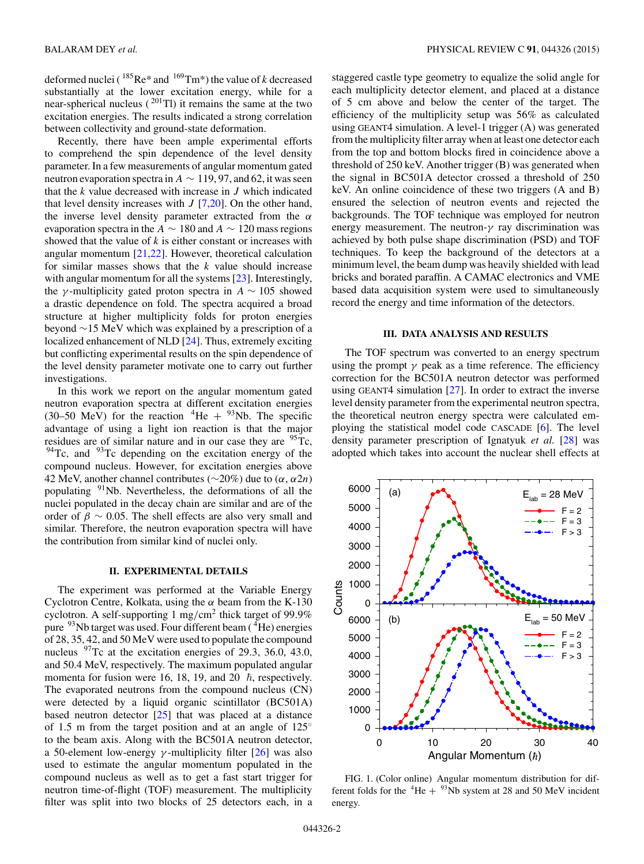<span id="page-1-0"></span>deformed nuclei ( $^{185}$ Re\* and  $^{169}$ Tm\*) the value of k decreased substantially at the lower excitation energy, while for a near-spherical nucleus ( $^{201}$ Tl) it remains the same at the two excitation energies. The results indicated a strong correlation between collectivity and ground-state deformation.

Recently, there have been ample experimental efforts to comprehend the spin dependence of the level density parameter. In a few measurements of angular momentum gated neutron evaporation spectra in  $A \sim 119, 97$ , and 62, it was seen that the  $k$  value decreased with increase in  $J$  which indicated that level density increases with  $J$  [\[7,20\]](#page-4-0). On the other hand, the inverse level density parameter extracted from the  $\alpha$ evaporation spectra in the  $A \sim 180$  and  $A \sim 120$  mass regions showed that the value of  $k$  is either constant or increases with angular momentum [\[21,22\]](#page-4-0). However, theoretical calculation for similar masses shows that the  $k$  value should increase with angular momentum for all the systems [\[23\]](#page-4-0). Interestingly, the γ-multiplicity gated proton spectra in  $A \sim 105$  showed a drastic dependence on fold. The spectra acquired a broad structure at higher multiplicity folds for proton energies beyond ∼15 MeV which was explained by a prescription of a localized enhancement of NLD [\[24\]](#page-4-0). Thus, extremely exciting but conflicting experimental results on the spin dependence of the level density parameter motivate one to carry out further investigations.

In this work we report on the angular momentum gated neutron evaporation spectra at different excitation energies (30–50 MeV) for the reaction  ${}^{4}$ He +  ${}^{93}$ Nb. The specific advantage of using a light ion reaction is that the major residues are of similar nature and in our case they are <sup>95</sup>Tc,  $94$ Tc, and  $93$ Tc depending on the excitation energy of the compound nucleus. However, for excitation energies above 42 MeV, another channel contributes ( $\sim$ 20%) due to ( $\alpha$ ,  $\alpha$ 2*n*) populating <sup>91</sup>Nb. Nevertheless, the deformations of all the nuclei populated in the decay chain are similar and are of the order of  $\beta \sim 0.05$ . The shell effects are also very small and similar. Therefore, the neutron evaporation spectra will have the contribution from similar kind of nuclei only.

## **II. EXPERIMENTAL DETAILS**

The experiment was performed at the Variable Energy Cyclotron Centre, Kolkata, using the  $\alpha$  beam from the K-130 cyclotron. A self-supporting 1 mg/cm<sup>2</sup> thick target of 99.9% pure  $93$ Nb target was used. Four different beam ( $^{4}$ He) energies of 28, 35, 42, and 50 MeV were used to populate the compound nucleus  $97$ Tc at the excitation energies of 29.3, 36.0, 43.0, and 50.4 MeV, respectively. The maximum populated angular momenta for fusion were 16, 18, 19, and  $20\bar{\hbar}$ , respectively. The evaporated neutrons from the compound nucleus (CN) were detected by a liquid organic scintillator (BC501A) based neutron detector [\[25\]](#page-4-0) that was placed at a distance of 1.5 m from the target position and at an angle of 125◦ to the beam axis. Along with the BC501A neutron detector, a 50-element low-energy  $\gamma$ -multiplicity filter [\[26\]](#page-4-0) was also used to estimate the angular momentum populated in the compound nucleus as well as to get a fast start trigger for neutron time-of-flight (TOF) measurement. The multiplicity filter was split into two blocks of 25 detectors each, in a

staggered castle type geometry to equalize the solid angle for each multiplicity detector element, and placed at a distance of 5 cm above and below the center of the target. The efficiency of the multiplicity setup was 56% as calculated using GEANT4 simulation. A level-1 trigger (A) was generated from the multiplicity filter array when at least one detector each from the top and bottom blocks fired in coincidence above a threshold of 250 keV. Another trigger (B) was generated when the signal in BC501A detector crossed a threshold of 250 keV. An online coincidence of these two triggers (A and B) ensured the selection of neutron events and rejected the backgrounds. The TOF technique was employed for neutron energy measurement. The neutron- $\gamma$  ray discrimination was achieved by both pulse shape discrimination (PSD) and TOF techniques. To keep the background of the detectors at a minimum level, the beam dump was heavily shielded with lead bricks and borated paraffin. A CAMAC electronics and VME based data acquisition system were used to simultaneously record the energy and time information of the detectors.

#### **III. DATA ANALYSIS AND RESULTS**

The TOF spectrum was converted to an energy spectrum using the prompt  $\gamma$  peak as a time reference. The efficiency correction for the BC501A neutron detector was performed using GEANT4 simulation [\[27\]](#page-4-0). In order to extract the inverse level density parameter from the experimental neutron spectra, the theoretical neutron energy spectra were calculated employing the statistical model code CASCADE [\[6\]](#page-4-0). The level density parameter prescription of Ignatyuk *et al.* [\[28\]](#page-4-0) was adopted which takes into account the nuclear shell effects at



FIG. 1. (Color online) Angular momentum distribution for different folds for the  ${}^{4}$ He +  ${}^{93}$ Nb system at 28 and 50 MeV incident energy.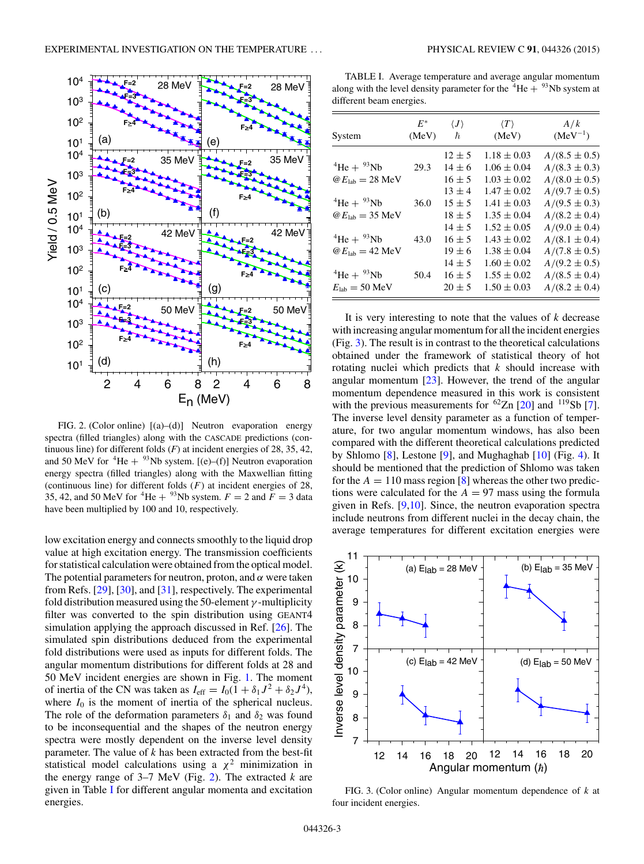

FIG. 2. (Color online) [(a)–(d)] Neutron evaporation energy spectra (filled triangles) along with the CASCADE predictions (continuous line) for different folds  $(F)$  at incident energies of 28, 35, 42, and 50 MeV for  ${}^{4}$ He +  ${}^{93}$ Nb system. [(e)–(f)] Neutron evaporation energy spectra (filled triangles) along with the Maxwellian fitting (continuous line) for different folds  $(F)$  at incident energies of 28, 35, 42, and 50 MeV for <sup>4</sup>He + <sup>93</sup>Nb system.  $F = 2$  and  $F = 3$  data have been multiplied by 100 and 10, respectively.

low excitation energy and connects smoothly to the liquid drop value at high excitation energy. The transmission coefficients for statistical calculation were obtained from the optical model. The potential parameters for neutron, proton, and  $\alpha$  were taken from Refs. [\[29\]](#page-4-0), [\[30\]](#page-4-0), and [\[31\]](#page-4-0), respectively. The experimental fold distribution measured using the 50-element  $\gamma$ -multiplicity filter was converted to the spin distribution using GEANT4 simulation applying the approach discussed in Ref. [\[26\]](#page-4-0). The simulated spin distributions deduced from the experimental fold distributions were used as inputs for different folds. The angular momentum distributions for different folds at 28 and 50 MeV incident energies are shown in Fig. [1.](#page-1-0) The moment of inertia of the CN was taken as  $I_{\text{eff}} = I_0(1 + \delta_1 J^2 + \delta_2 J^4)$ , where  $I_0$  is the moment of inertia of the spherical nucleus. The role of the deformation parameters  $\delta_1$  and  $\delta_2$  was found to be inconsequential and the shapes of the neutron energy spectra were mostly dependent on the inverse level density parameter. The value of  $k$  has been extracted from the best-fit statistical model calculations using a  $\chi^2$  minimization in the energy range of 3–7 MeV (Fig. 2). The extracted *k* are given in Table I for different angular momenta and excitation energies.

TABLE I. Average temperature and average angular momentum along with the level density parameter for the  ${}^{4}$ He  $+ {}^{93}$ Nb system at different beam energies.

| System                                                             | $E^*$<br>(MeV) | $\langle J \rangle$<br>ħ               | $\langle T \rangle$<br>(MeV)                          | A/k<br>$(MeV^{-1})$                                         |
|--------------------------------------------------------------------|----------------|----------------------------------------|-------------------------------------------------------|-------------------------------------------------------------|
| $^{4}$ He + $^{93}$ Nb<br>$\omega E_{\text{lab}} = 28 \text{ MeV}$ | 29.3           | $12 \pm 5$<br>$14 \pm 6$<br>$16 \pm 5$ | $1.18 \pm 0.03$<br>$1.06 \pm 0.04$<br>$1.03 \pm 0.02$ | $A/(8.5 \pm 0.5)$<br>$A/(8.3 \pm 0.3)$<br>$A/(8.0 \pm 0.5)$ |
| $^{4}$ He + $^{93}$ Nb<br>$\omega E_{\text{lab}} = 35 \text{ MeV}$ | 36.0           | $13 \pm 4$<br>$15 \pm 5$<br>$18 \pm 5$ | $1.47 \pm 0.02$<br>$1.41 \pm 0.03$<br>$1.35 \pm 0.04$ | $A/(9.7 \pm 0.5)$<br>$A/(9.5 \pm 0.3)$<br>$A/(8.2 \pm 0.4)$ |
| $^{4}$ He + $^{93}$ Nb<br>$\omega E_{\text{lab}} = 42 \text{ MeV}$ | 43.0           | $14 \pm 5$<br>$16 \pm 5$<br>$19 \pm 6$ | $1.52 \pm 0.05$<br>$1.43 \pm 0.02$<br>$1.38 \pm 0.04$ | $A/(9.0 \pm 0.4)$<br>$A/(8.1 \pm 0.4)$<br>$A/(7.8 \pm 0.5)$ |
| $^{4}$ He + $^{93}$ Nb<br>$E_{\text{lab}} = 50 \text{ MeV}$        | 50.4           | $14 \pm 5$<br>$16 \pm 5$<br>$20 \pm 5$ | $1.60 \pm 0.02$<br>$1.55 \pm 0.02$<br>$1.50 \pm 0.03$ | $A/(9.2 \pm 0.5)$<br>$A/(8.5 \pm 0.4)$<br>$A/(8.2 \pm 0.4)$ |

It is very interesting to note that the values of *k* decrease with increasing angular momentum for all the incident energies (Fig. 3). The result is in contrast to the theoretical calculations obtained under the framework of statistical theory of hot rotating nuclei which predicts that  $k$  should increase with angular momentum  $[23]$ . However, the trend of the angular momentum dependence measured in this work is consistent with the previous measurements for  ${}^{62}Zn$  [\[20\]](#page-4-0) and  ${}^{119}Sb$  [\[7\]](#page-4-0). The inverse level density parameter as a function of temperature, for two angular momentum windows, has also been compared with the different theoretical calculations predicted by Shlomo [\[8\]](#page-4-0), Lestone [\[9\]](#page-4-0), and Mughaghab [\[10\]](#page-4-0) (Fig. [4\)](#page-3-0). It should be mentioned that the prediction of Shlomo was taken for the  $A = 110$  mass region [\[8\]](#page-4-0) whereas the other two predictions were calculated for the  $A = 97$  mass using the formula given in Refs. [\[9,10\]](#page-4-0). Since, the neutron evaporation spectra include neutrons from different nuclei in the decay chain, the average temperatures for different excitation energies were



FIG. 3. (Color online) Angular momentum dependence of *k* at four incident energies.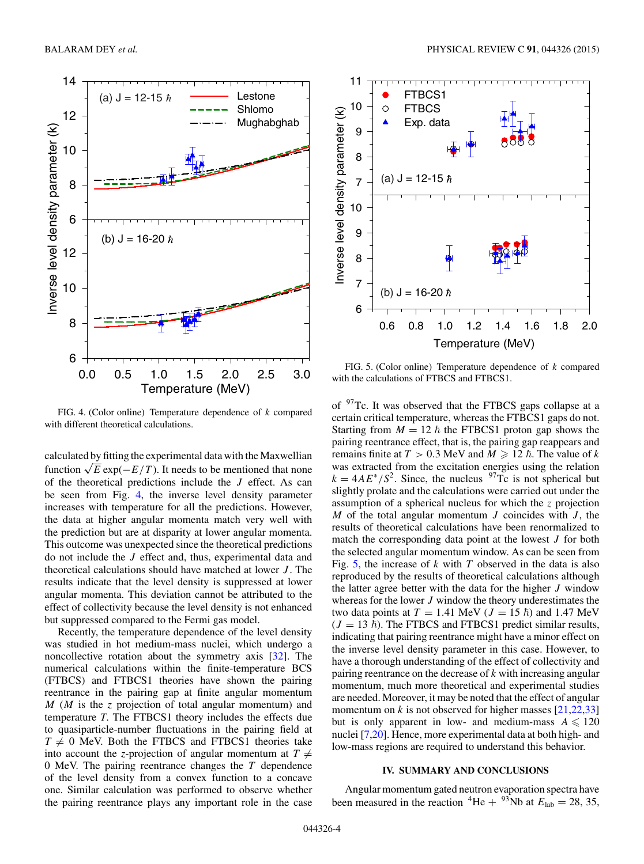<span id="page-3-0"></span>

FIG. 4. (Color online) Temperature dependence of *k* compared with different theoretical calculations.

calculated by fitting the experimental data with the Maxwellian function  $\sqrt{E}$  exp( $-E/T$ ). It needs to be mentioned that none of the theoretical predictions include the  $J$  effect. As can be seen from Fig. 4, the inverse level density parameter increases with temperature for all the predictions. However, the data at higher angular momenta match very well with the prediction but are at disparity at lower angular momenta. This outcome was unexpected since the theoretical predictions do not include the J effect and, thus, experimental data and theoretical calculations should have matched at lower  $J$ . The results indicate that the level density is suppressed at lower angular momenta. This deviation cannot be attributed to the effect of collectivity because the level density is not enhanced but suppressed compared to the Fermi gas model.

Recently, the temperature dependence of the level density was studied in hot medium-mass nuclei, which undergo a noncollective rotation about the symmetry axis [\[32\]](#page-4-0). The numerical calculations within the finite-temperature BCS (FTBCS) and FTBCS1 theories have shown the pairing reentrance in the pairing gap at finite angular momentum  $M$  (M is the z projection of total angular momentum) and temperature *T*. The FTBCS1 theory includes the effects due to quasiparticle-number fluctuations in the pairing field at  $T \neq 0$  MeV. Both the FTBCS and FTBCS1 theories take into account the *z*-projection of angular momentum at  $T \neq$ 0 MeV. The pairing reentrance changes the T dependence of the level density from a convex function to a concave one. Similar calculation was performed to observe whether the pairing reentrance plays any important role in the case



FIG. 5. (Color online) Temperature dependence of *k* compared with the calculations of FTBCS and FTBCS1.

of 97Tc. It was observed that the FTBCS gaps collapse at a certain critical temperature, whereas the FTBCS1 gaps do not. Starting from  $M = 12 \hbar$  the FTBCS1 proton gap shows the pairing reentrance effect, that is, the pairing gap reappears and remains finite at  $T > 0.3$  MeV and  $M \ge 12$   $\hbar$ . The value of k was extracted from the excitation energies using the relation  $k = 4AE^*/S^2$ . Since, the nucleus <sup>97</sup>Tc is not spherical but slightly prolate and the calculations were carried out under the assumption of a spherical nucleus for which the z projection M of the total angular momentum  $J$  coincides with  $J$ , the results of theoretical calculations have been renormalized to match the corresponding data point at the lowest J for both the selected angular momentum window. As can be seen from Fig. 5, the increase of  $k$  with  $T$  observed in the data is also reproduced by the results of theoretical calculations although the latter agree better with the data for the higher J window whereas for the lower  $J$  window the theory underestimates the two data points at  $T = 1.41$  MeV ( $J = 15$   $\hbar$ ) and 1.47 MeV  $(J = 13 \hbar)$ . The FTBCS and FTBCS1 predict similar results, indicating that pairing reentrance might have a minor effect on the inverse level density parameter in this case. However, to have a thorough understanding of the effect of collectivity and pairing reentrance on the decrease of  $k$  with increasing angular momentum, much more theoretical and experimental studies are needed. Moreover, it may be noted that the effect of angular momentum on k is not observed for higher masses  $[21,22,33]$ but is only apparent in low- and medium-mass  $A \le 120$ nuclei [\[7,20\]](#page-4-0). Hence, more experimental data at both high- and low-mass regions are required to understand this behavior.

## **IV. SUMMARY AND CONCLUSIONS**

Angular momentum gated neutron evaporation spectra have been measured in the reaction <sup>4</sup>He + <sup>93</sup>Nb at  $E_{\text{lab}} = 28, 35,$